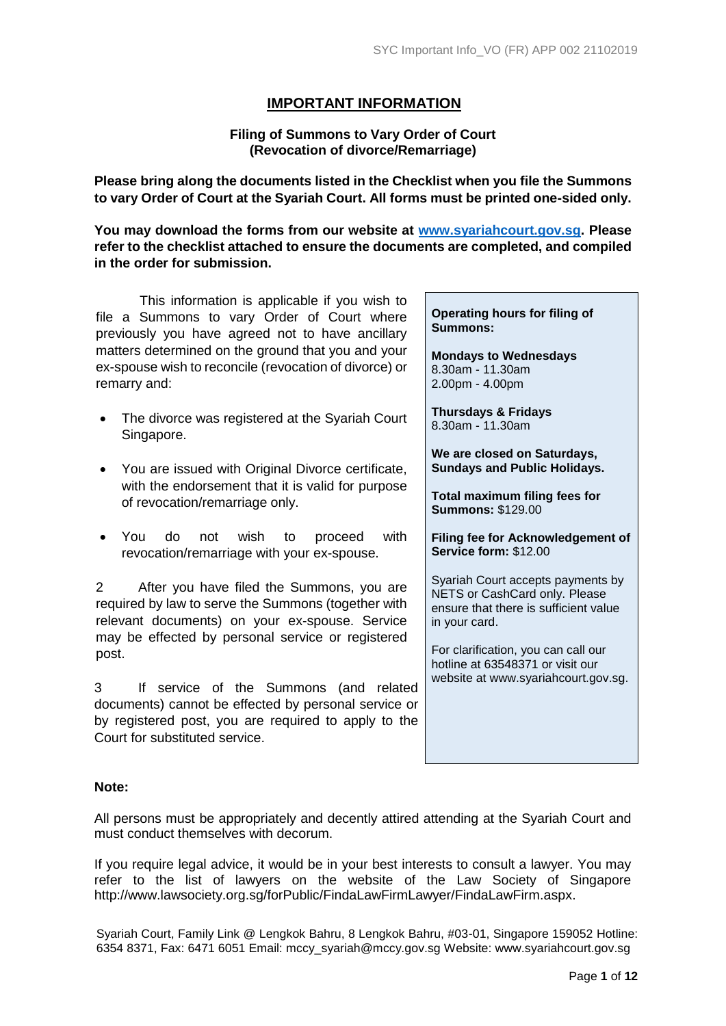# **IMPORTANT INFORMATION**

## **Filing of Summons to Vary Order of Court (Revocation of divorce/Remarriage)**

**Please bring along the documents listed in the Checklist when you file the Summons to vary Order of Court at the Syariah Court. All forms must be printed one-sided only.** 

**You may download the forms from our website at [www.syariahcourt.gov.sg.](http://www.syariahcourt.gov.sg/) Please refer to the checklist attached to ensure the documents are completed, and compiled in the order for submission.**

This information is applicable if you wish to file a Summons to vary Order of Court where previously you have agreed not to have ancillary matters determined on the ground that you and your ex-spouse wish to reconcile (revocation of divorce) or remarry and:

- The divorce was registered at the Syariah Court Singapore.
- You are issued with Original Divorce certificate, with the endorsement that it is valid for purpose of revocation/remarriage only.
- You do not wish to proceed with revocation/remarriage with your ex-spouse.

2 After you have filed the Summons, you are required by law to serve the Summons (together with relevant documents) on your ex-spouse. Service may be effected by personal service or registered post.

3 If service of the Summons (and related documents) cannot be effected by personal service or by registered post, you are required to apply to the Court for substituted service.

**Operating hours for filing of Summons:**

**Mondays to Wednesdays** 8.30am - 11.30am 2.00pm - 4.00pm

**Thursdays & Fridays** 8.30am - 11.30am

**We are closed on Saturdays, Sundays and Public Holidays.**

**Total maximum filing fees for Summons:** \$129.00

**Filing fee for Acknowledgement of Service form:** \$12.00

Syariah Court accepts payments by NETS or CashCard only. Please ensure that there is sufficient value in your card.

For clarification, you can call our hotline at 63548371 or visit our website at www.syariahcourt.gov.sg.

## **Note:**

All persons must be appropriately and decently attired attending at the Syariah Court and must conduct themselves with decorum.

If you require legal advice, it would be in your best interests to consult a lawyer. You may refer to the list of lawyers on the website of the Law Society of Singapore http://www.lawsociety.org.sg/forPublic/FindaLawFirmLawyer/FindaLawFirm.aspx.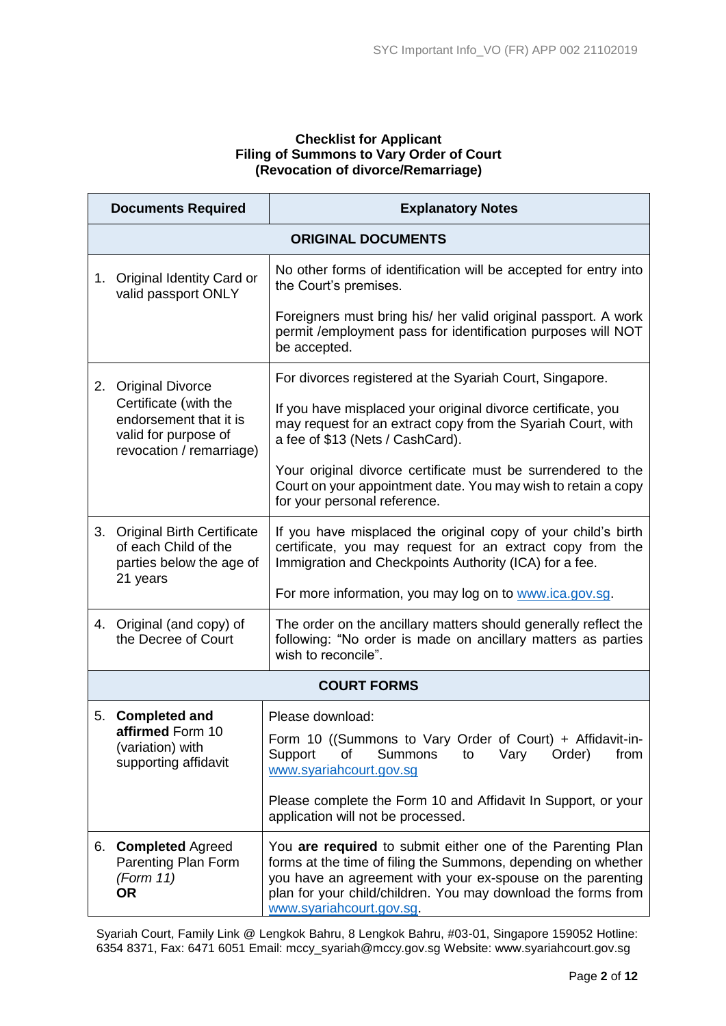## **Checklist for Applicant Filing of Summons to Vary Order of Court (Revocation of divorce/Remarriage)**

|                                                                                                     | <b>Documents Required</b>                                                                     | <b>Explanatory Notes</b>                                                                                                                                                                                                                                                                |  |  |
|-----------------------------------------------------------------------------------------------------|-----------------------------------------------------------------------------------------------|-----------------------------------------------------------------------------------------------------------------------------------------------------------------------------------------------------------------------------------------------------------------------------------------|--|--|
|                                                                                                     | <b>ORIGINAL DOCUMENTS</b>                                                                     |                                                                                                                                                                                                                                                                                         |  |  |
| Original Identity Card or<br>1.<br>valid passport ONLY                                              |                                                                                               | No other forms of identification will be accepted for entry into<br>the Court's premises.                                                                                                                                                                                               |  |  |
|                                                                                                     |                                                                                               | Foreigners must bring his/ her valid original passport. A work<br>permit / employment pass for identification purposes will NOT<br>be accepted.                                                                                                                                         |  |  |
| 2.                                                                                                  | <b>Original Divorce</b>                                                                       | For divorces registered at the Syariah Court, Singapore.                                                                                                                                                                                                                                |  |  |
| Certificate (with the<br>endorsement that it is<br>valid for purpose of<br>revocation / remarriage) |                                                                                               | If you have misplaced your original divorce certificate, you<br>may request for an extract copy from the Syariah Court, with<br>a fee of \$13 (Nets / CashCard).                                                                                                                        |  |  |
|                                                                                                     |                                                                                               | Your original divorce certificate must be surrendered to the<br>Court on your appointment date. You may wish to retain a copy<br>for your personal reference.                                                                                                                           |  |  |
|                                                                                                     | 3. Original Birth Certificate<br>of each Child of the<br>parties below the age of<br>21 years | If you have misplaced the original copy of your child's birth<br>certificate, you may request for an extract copy from the<br>Immigration and Checkpoints Authority (ICA) for a fee.                                                                                                    |  |  |
|                                                                                                     |                                                                                               | For more information, you may log on to www.ica.gov.sg.                                                                                                                                                                                                                                 |  |  |
| 4.                                                                                                  | Original (and copy) of<br>the Decree of Court                                                 | The order on the ancillary matters should generally reflect the<br>following: "No order is made on ancillary matters as parties<br>wish to reconcile".                                                                                                                                  |  |  |
|                                                                                                     |                                                                                               | <b>COURT FORMS</b>                                                                                                                                                                                                                                                                      |  |  |
| 5.                                                                                                  | <b>Completed and</b>                                                                          | Please download:                                                                                                                                                                                                                                                                        |  |  |
|                                                                                                     | affirmed Form 10<br>(variation) with<br>supporting affidavit                                  | Form 10 ((Summons to Vary Order of Court) + Affidavit-in-<br><b>Summons</b><br>Order)<br>from<br>Support<br>οf<br>Vary<br>to<br>www.syariahcourt.gov.sg                                                                                                                                 |  |  |
|                                                                                                     |                                                                                               | Please complete the Form 10 and Affidavit In Support, or your<br>application will not be processed.                                                                                                                                                                                     |  |  |
|                                                                                                     | 6. Completed Agreed<br>Parenting Plan Form<br>(Form 11)<br><b>OR</b>                          | You are required to submit either one of the Parenting Plan<br>forms at the time of filing the Summons, depending on whether<br>you have an agreement with your ex-spouse on the parenting<br>plan for your child/children. You may download the forms from<br>www.syariahcourt.gov.sg. |  |  |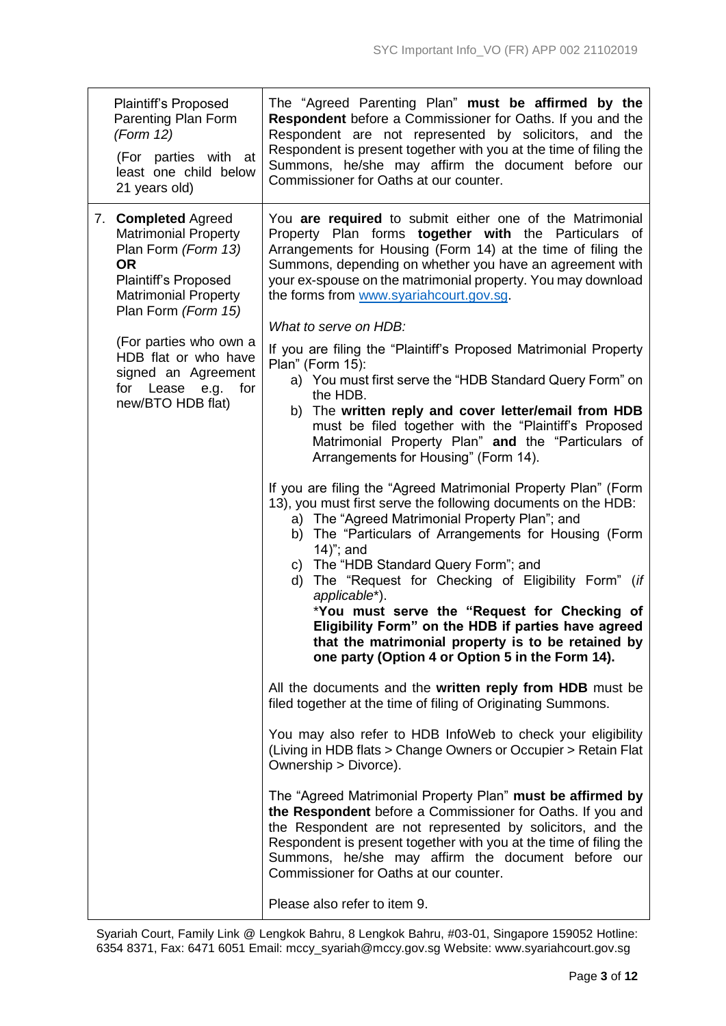| <b>Plaintiff's Proposed</b><br>Parenting Plan Form<br>(Form 12)<br>(For parties with at<br>least one child below<br>21 years old)                                           | The "Agreed Parenting Plan" must be affirmed by the<br><b>Respondent</b> before a Commissioner for Oaths. If you and the<br>Respondent are not represented by solicitors, and the<br>Respondent is present together with you at the time of filing the<br>Summons, he/she may affirm the document before our<br>Commissioner for Oaths at our counter.     |
|-----------------------------------------------------------------------------------------------------------------------------------------------------------------------------|------------------------------------------------------------------------------------------------------------------------------------------------------------------------------------------------------------------------------------------------------------------------------------------------------------------------------------------------------------|
| 7. Completed Agreed<br><b>Matrimonial Property</b><br>Plan Form (Form 13)<br><b>OR</b><br><b>Plaintiff's Proposed</b><br><b>Matrimonial Property</b><br>Plan Form (Form 15) | You are required to submit either one of the Matrimonial<br>Property Plan forms together with the Particulars of<br>Arrangements for Housing (Form 14) at the time of filing the<br>Summons, depending on whether you have an agreement with<br>your ex-spouse on the matrimonial property. You may download<br>the forms from www.syariahcourt.gov.sg.    |
| (For parties who own a                                                                                                                                                      | What to serve on HDB:                                                                                                                                                                                                                                                                                                                                      |
| HDB flat or who have<br>signed an Agreement<br>for Lease e.g.<br>for                                                                                                        | If you are filing the "Plaintiff's Proposed Matrimonial Property<br>Plan" (Form 15):<br>a) You must first serve the "HDB Standard Query Form" on                                                                                                                                                                                                           |
| new/BTO HDB flat)                                                                                                                                                           | the HDB.<br>b) The written reply and cover letter/email from HDB<br>must be filed together with the "Plaintiff's Proposed<br>Matrimonial Property Plan" and the "Particulars of<br>Arrangements for Housing" (Form 14).                                                                                                                                    |
|                                                                                                                                                                             | If you are filing the "Agreed Matrimonial Property Plan" (Form<br>13), you must first serve the following documents on the HDB:<br>a) The "Agreed Matrimonial Property Plan"; and<br>b) The "Particulars of Arrangements for Housing (Form<br>14)"; and                                                                                                    |
|                                                                                                                                                                             | c) The "HDB Standard Query Form"; and<br>The "Request for Checking of Eligibility Form" (if<br>d)<br>applicable*).<br>*You must serve the "Request for Checking of<br>Eligibility Form" on the HDB if parties have agreed<br>that the matrimonial property is to be retained by<br>one party (Option 4 or Option 5 in the Form 14).                        |
|                                                                                                                                                                             | All the documents and the written reply from HDB must be<br>filed together at the time of filing of Originating Summons.                                                                                                                                                                                                                                   |
|                                                                                                                                                                             | You may also refer to HDB InfoWeb to check your eligibility<br>(Living in HDB flats > Change Owners or Occupier > Retain Flat<br>Ownership > Divorce).                                                                                                                                                                                                     |
|                                                                                                                                                                             | The "Agreed Matrimonial Property Plan" must be affirmed by<br>the Respondent before a Commissioner for Oaths. If you and<br>the Respondent are not represented by solicitors, and the<br>Respondent is present together with you at the time of filing the<br>Summons, he/she may affirm the document before our<br>Commissioner for Oaths at our counter. |
|                                                                                                                                                                             | Please also refer to item 9.                                                                                                                                                                                                                                                                                                                               |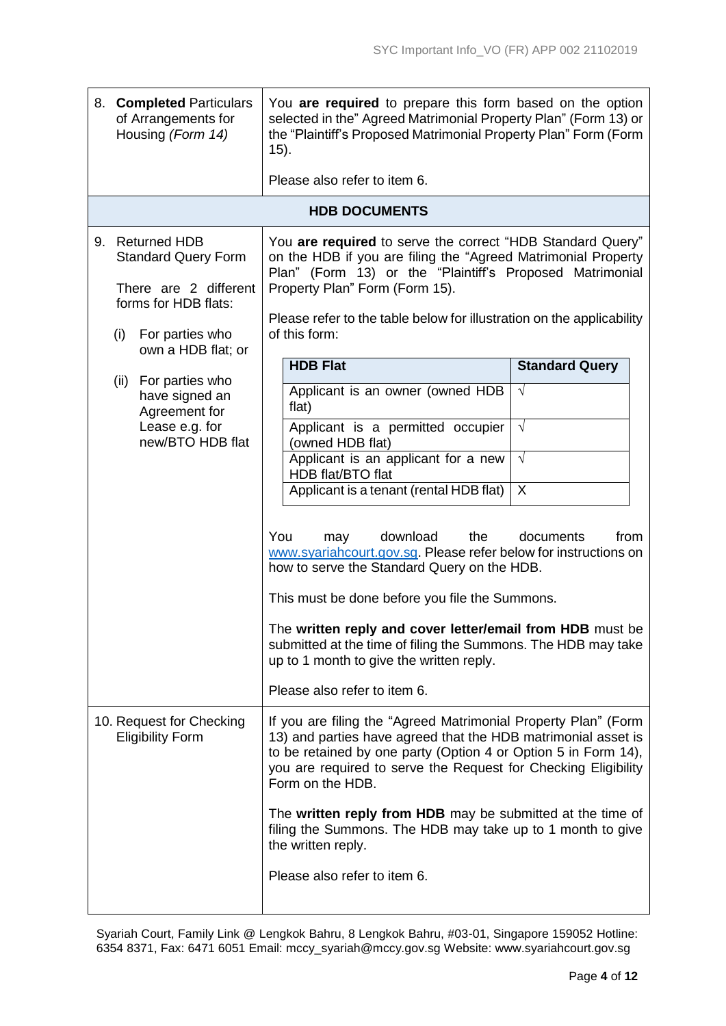|    | 8. Completed Particulars<br>of Arrangements for<br>Housing (Form 14)                                                                               | You are required to prepare this form based on the option<br>selected in the" Agreed Matrimonial Property Plan" (Form 13) or<br>the "Plaintiff's Proposed Matrimonial Property Plan" Form (Form<br>$(15)$ .                                                                                                                                                                                                                                                               |                       |  |  |
|----|----------------------------------------------------------------------------------------------------------------------------------------------------|---------------------------------------------------------------------------------------------------------------------------------------------------------------------------------------------------------------------------------------------------------------------------------------------------------------------------------------------------------------------------------------------------------------------------------------------------------------------------|-----------------------|--|--|
|    |                                                                                                                                                    | Please also refer to item 6.                                                                                                                                                                                                                                                                                                                                                                                                                                              |                       |  |  |
|    |                                                                                                                                                    | <b>HDB DOCUMENTS</b>                                                                                                                                                                                                                                                                                                                                                                                                                                                      |                       |  |  |
| 9. | <b>Returned HDB</b><br><b>Standard Query Form</b><br>There are 2 different<br>forms for HDB flats:<br>(i)<br>For parties who<br>own a HDB flat; or | You are required to serve the correct "HDB Standard Query"<br>on the HDB if you are filing the "Agreed Matrimonial Property<br>Plan" (Form 13) or the "Plaintiff's Proposed Matrimonial<br>Property Plan" Form (Form 15).<br>Please refer to the table below for illustration on the applicability<br>of this form:                                                                                                                                                       |                       |  |  |
|    | For parties who<br>(ii)                                                                                                                            | <b>HDB Flat</b>                                                                                                                                                                                                                                                                                                                                                                                                                                                           | <b>Standard Query</b> |  |  |
|    | have signed an<br>Agreement for                                                                                                                    | Applicant is an owner (owned HDB<br>flat)                                                                                                                                                                                                                                                                                                                                                                                                                                 | $\sqrt{ }$            |  |  |
|    | Lease e.g. for<br>new/BTO HDB flat                                                                                                                 | Applicant is a permitted occupier<br>(owned HDB flat)                                                                                                                                                                                                                                                                                                                                                                                                                     | $\sqrt{ }$            |  |  |
|    |                                                                                                                                                    | Applicant is an applicant for a new<br>HDB flat/BTO flat                                                                                                                                                                                                                                                                                                                                                                                                                  | $\sqrt{ }$            |  |  |
|    |                                                                                                                                                    | Applicant is a tenant (rental HDB flat)                                                                                                                                                                                                                                                                                                                                                                                                                                   | $\sf X$               |  |  |
|    |                                                                                                                                                    | You<br>download<br>the<br>from<br>may<br>documents<br>www.syariahcourt.gov.sg. Please refer below for instructions on<br>how to serve the Standard Query on the HDB.<br>This must be done before you file the Summons.<br>The written reply and cover letter/email from HDB must be<br>submitted at the time of filing the Summons. The HDB may take<br>up to 1 month to give the written reply.<br>Please also refer to item 6.                                          |                       |  |  |
|    | 10. Request for Checking<br><b>Eligibility Form</b>                                                                                                | If you are filing the "Agreed Matrimonial Property Plan" (Form<br>13) and parties have agreed that the HDB matrimonial asset is<br>to be retained by one party (Option 4 or Option 5 in Form 14),<br>you are required to serve the Request for Checking Eligibility<br>Form on the HDB.<br>The written reply from HDB may be submitted at the time of<br>filing the Summons. The HDB may take up to 1 month to give<br>the written reply.<br>Please also refer to item 6. |                       |  |  |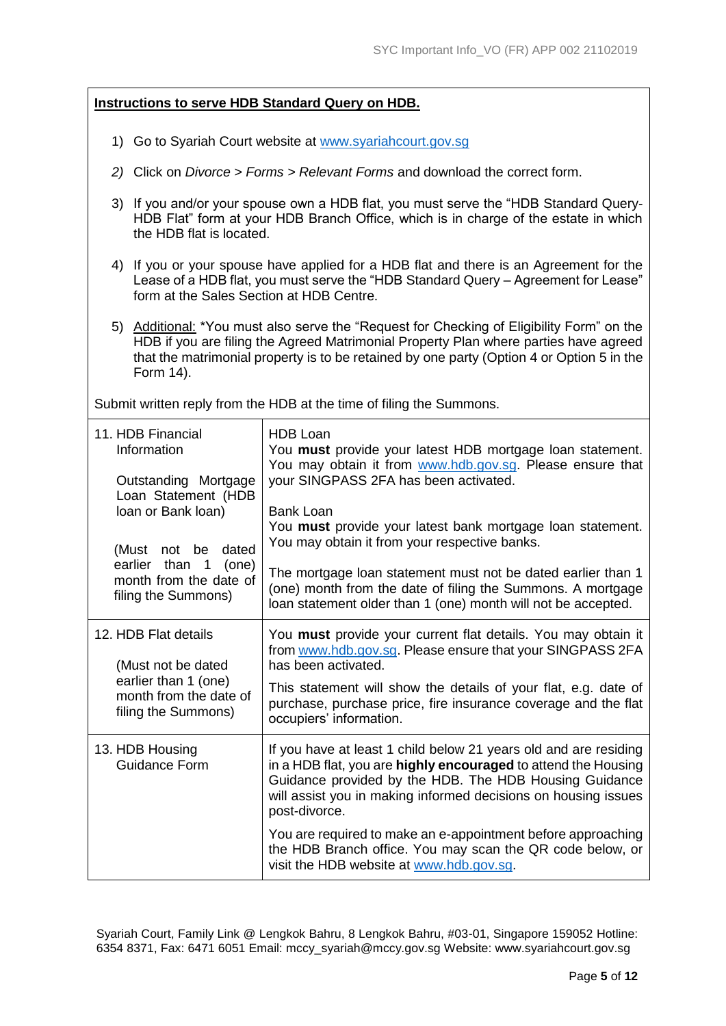|                                                                                                                                                                           |                                                                                                                                                                                                                          | <b>Instructions to serve HDB Standard Query on HDB.</b>                                                                                                                                                                                                                         |  |  |
|---------------------------------------------------------------------------------------------------------------------------------------------------------------------------|--------------------------------------------------------------------------------------------------------------------------------------------------------------------------------------------------------------------------|---------------------------------------------------------------------------------------------------------------------------------------------------------------------------------------------------------------------------------------------------------------------------------|--|--|
|                                                                                                                                                                           | 1) Go to Syariah Court website at www.syariahcourt.gov.sg                                                                                                                                                                |                                                                                                                                                                                                                                                                                 |  |  |
|                                                                                                                                                                           | 2) Click on <i>Divorce &gt; Forms &gt; Relevant Forms</i> and download the correct form.                                                                                                                                 |                                                                                                                                                                                                                                                                                 |  |  |
|                                                                                                                                                                           | the HDB flat is located.                                                                                                                                                                                                 | 3) If you and/or your spouse own a HDB flat, you must serve the "HDB Standard Query-<br>HDB Flat" form at your HDB Branch Office, which is in charge of the estate in which                                                                                                     |  |  |
|                                                                                                                                                                           | 4) If you or your spouse have applied for a HDB flat and there is an Agreement for the<br>Lease of a HDB flat, you must serve the "HDB Standard Query - Agreement for Lease"<br>form at the Sales Section at HDB Centre. |                                                                                                                                                                                                                                                                                 |  |  |
|                                                                                                                                                                           | Form 14).                                                                                                                                                                                                                | 5) Additional: *You must also serve the "Request for Checking of Eligibility Form" on the<br>HDB if you are filing the Agreed Matrimonial Property Plan where parties have agreed<br>that the matrimonial property is to be retained by one party (Option 4 or Option 5 in the  |  |  |
|                                                                                                                                                                           |                                                                                                                                                                                                                          | Submit written reply from the HDB at the time of filing the Summons.                                                                                                                                                                                                            |  |  |
| 11. HDB Financial<br>Information<br>Outstanding Mortgage<br>Loan Statement (HDB<br>Ioan or Bank Ioan)<br>(Must not be<br>dated<br>earlier than<br>$\overline{1}$<br>(one) |                                                                                                                                                                                                                          | <b>HDB Loan</b><br>You must provide your latest HDB mortgage loan statement.<br>You may obtain it from www.hdb.gov.sg. Please ensure that<br>your SINGPASS 2FA has been activated.                                                                                              |  |  |
|                                                                                                                                                                           |                                                                                                                                                                                                                          | <b>Bank Loan</b><br>You must provide your latest bank mortgage loan statement.<br>You may obtain it from your respective banks.<br>The mortgage loan statement must not be dated earlier than 1                                                                                 |  |  |
|                                                                                                                                                                           | month from the date of<br>filing the Summons)                                                                                                                                                                            | (one) month from the date of filing the Summons. A mortgage<br>loan statement older than 1 (one) month will not be accepted.                                                                                                                                                    |  |  |
| 12. HDB Flat details<br>(Must not be dated                                                                                                                                |                                                                                                                                                                                                                          | You must provide your current flat details. You may obtain it<br>from www.hdb.gov.sg. Please ensure that your SINGPASS 2FA<br>has been activated.                                                                                                                               |  |  |
|                                                                                                                                                                           | earlier than 1 (one)<br>month from the date of<br>filing the Summons)                                                                                                                                                    | This statement will show the details of your flat, e.g. date of<br>purchase, purchase price, fire insurance coverage and the flat<br>occupiers' information.                                                                                                                    |  |  |
|                                                                                                                                                                           | 13. HDB Housing<br><b>Guidance Form</b>                                                                                                                                                                                  | If you have at least 1 child below 21 years old and are residing<br>in a HDB flat, you are highly encouraged to attend the Housing<br>Guidance provided by the HDB. The HDB Housing Guidance<br>will assist you in making informed decisions on housing issues<br>post-divorce. |  |  |
|                                                                                                                                                                           |                                                                                                                                                                                                                          | You are required to make an e-appointment before approaching<br>the HDB Branch office. You may scan the QR code below, or<br>visit the HDB website at www.hdb.gov.sg.                                                                                                           |  |  |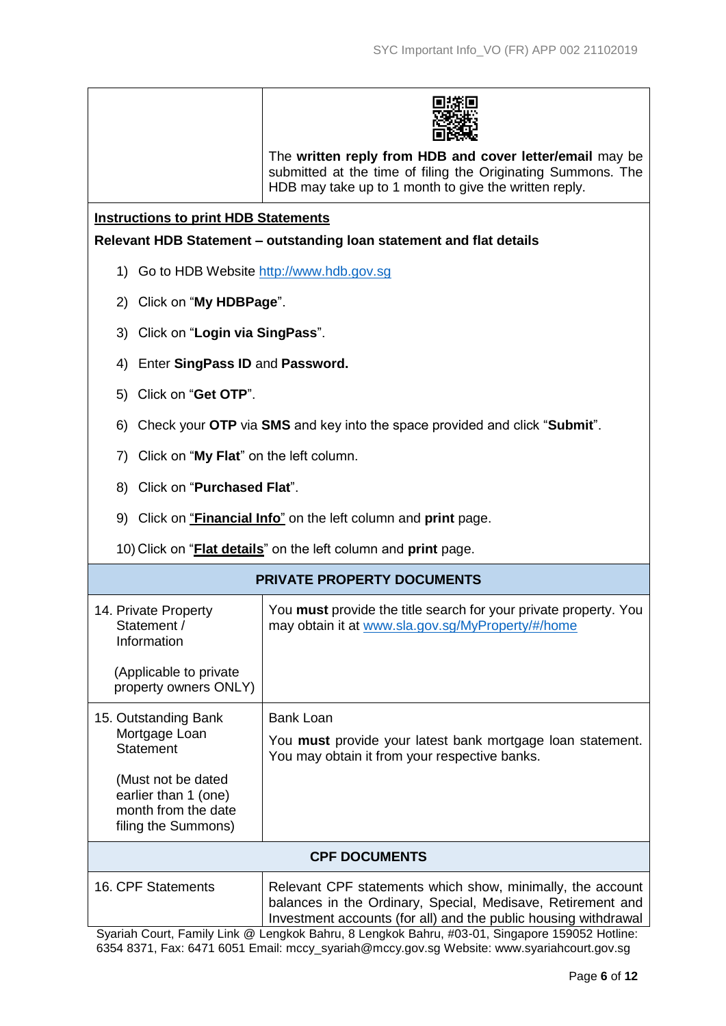|                                                                                          | The written reply from HDB and cover letter/email may be<br>submitted at the time of filing the Originating Summons. The<br>HDB may take up to 1 month to give the written reply. |  |  |  |
|------------------------------------------------------------------------------------------|-----------------------------------------------------------------------------------------------------------------------------------------------------------------------------------|--|--|--|
| <b>Instructions to print HDB Statements</b>                                              |                                                                                                                                                                                   |  |  |  |
|                                                                                          | Relevant HDB Statement – outstanding loan statement and flat details                                                                                                              |  |  |  |
| 1) Go to HDB Website http://www.hdb.gov.sg                                               |                                                                                                                                                                                   |  |  |  |
| 2) Click on "My HDBPage".                                                                |                                                                                                                                                                                   |  |  |  |
| 3) Click on "Login via SingPass".                                                        |                                                                                                                                                                                   |  |  |  |
| 4) Enter SingPass ID and Password.                                                       |                                                                                                                                                                                   |  |  |  |
| Click on "Get OTP".<br>5)                                                                |                                                                                                                                                                                   |  |  |  |
|                                                                                          | 6) Check your OTP via SMS and key into the space provided and click "Submit".                                                                                                     |  |  |  |
| 7) Click on "My Flat" on the left column.                                                |                                                                                                                                                                                   |  |  |  |
|                                                                                          | 8) Click on "Purchased Flat".                                                                                                                                                     |  |  |  |
|                                                                                          | 9) Click on " <b>Financial Info</b> " on the left column and <b>print</b> page.                                                                                                   |  |  |  |
| 10) Click on " <b>Flat details</b> " on the left column and <b>print</b> page.           |                                                                                                                                                                                   |  |  |  |
|                                                                                          | <b>PRIVATE PROPERTY DOCUMENTS</b>                                                                                                                                                 |  |  |  |
| 14. Private Property<br>Statement /<br>Information                                       | You <b>must</b> provide the title search for your private property. You<br>may obtain it at www.sla.gov.sg/MyProperty/#/home                                                      |  |  |  |
| (Applicable to private<br>property owners ONLY)                                          |                                                                                                                                                                                   |  |  |  |
| 15. Outstanding Bank<br>Mortgage Loan<br><b>Statement</b>                                | <b>Bank Loan</b><br>You must provide your latest bank mortgage loan statement.<br>You may obtain it from your respective banks.                                                   |  |  |  |
| (Must not be dated<br>earlier than 1 (one)<br>month from the date<br>filing the Summons) |                                                                                                                                                                                   |  |  |  |
|                                                                                          | <b>CPF DOCUMENTS</b>                                                                                                                                                              |  |  |  |
| 16. CPF Statements                                                                       | Relevant CPF statements which show, minimally, the account<br>balances in the Ordinary, Special, Medisave, Retirement and                                                         |  |  |  |

Syariah Court, Family Link @ Lengkok Bahru, 8 Lengkok Bahru, #03-01, Singapore 159052 Hotline: 6354 8371, Fax: 6471 6051 Email: [mccy\\_syariah@mccy.gov.sg](mailto:mccy_syariah@mccy.gov.sg) Website: www.syariahcourt.gov.sg Investment accounts (for all) and the public housing withdrawal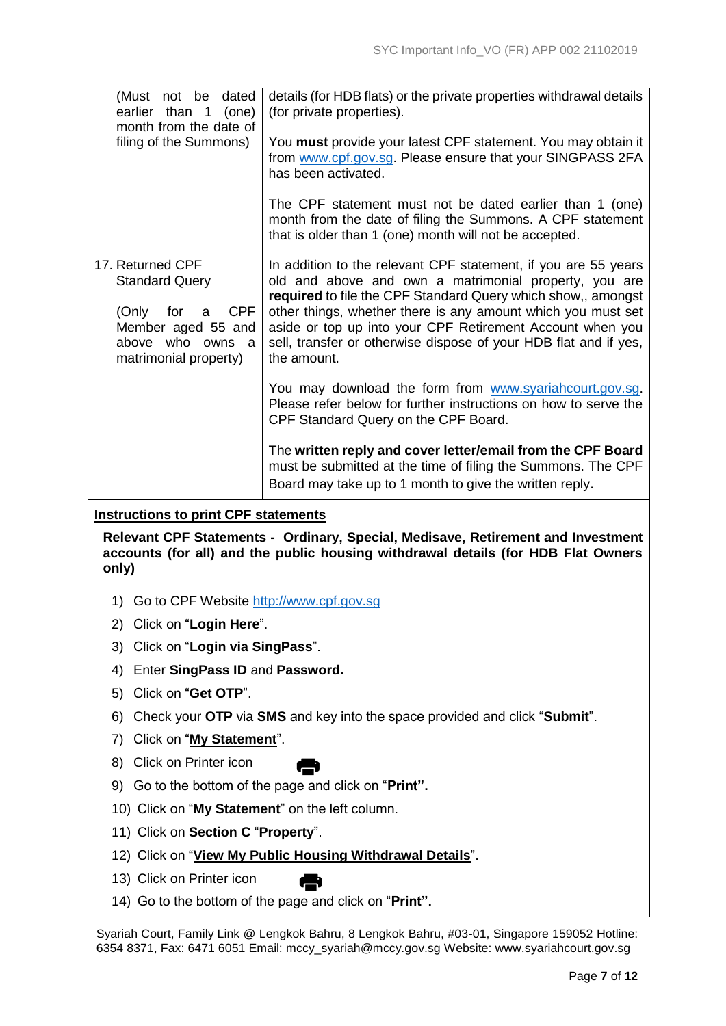| (Must not be dated<br>earlier than 1<br>(one)<br>month from the date of                                                                         | details (for HDB flats) or the private properties withdrawal details<br>(for private properties).                                                                                                                                                                                                                                                                                                       |
|-------------------------------------------------------------------------------------------------------------------------------------------------|---------------------------------------------------------------------------------------------------------------------------------------------------------------------------------------------------------------------------------------------------------------------------------------------------------------------------------------------------------------------------------------------------------|
| filing of the Summons)                                                                                                                          | You must provide your latest CPF statement. You may obtain it<br>from www.cpf.gov.sg. Please ensure that your SINGPASS 2FA<br>has been activated.                                                                                                                                                                                                                                                       |
|                                                                                                                                                 | The CPF statement must not be dated earlier than 1 (one)<br>month from the date of filing the Summons. A CPF statement<br>that is older than 1 (one) month will not be accepted.                                                                                                                                                                                                                        |
| 17. Returned CPF<br><b>Standard Query</b><br><b>CPF</b><br>(Only<br>for<br>a<br>Member aged 55 and<br>above who owns a<br>matrimonial property) | In addition to the relevant CPF statement, if you are 55 years<br>old and above and own a matrimonial property, you are<br>required to file the CPF Standard Query which show,, amongst<br>other things, whether there is any amount which you must set<br>aside or top up into your CPF Retirement Account when you<br>sell, transfer or otherwise dispose of your HDB flat and if yes,<br>the amount. |
|                                                                                                                                                 | You may download the form from www.syariahcourt.gov.sg.<br>Please refer below for further instructions on how to serve the<br>CPF Standard Query on the CPF Board.                                                                                                                                                                                                                                      |
|                                                                                                                                                 | The written reply and cover letter/email from the CPF Board                                                                                                                                                                                                                                                                                                                                             |
|                                                                                                                                                 | must be submitted at the time of filing the Summons. The CPF<br>Board may take up to 1 month to give the written reply.                                                                                                                                                                                                                                                                                 |
| <b>Instructions to print CPF statements</b>                                                                                                     |                                                                                                                                                                                                                                                                                                                                                                                                         |
| only)                                                                                                                                           | Relevant CPF Statements - Ordinary, Special, Medisave, Retirement and Investment<br>accounts (for all) and the public housing withdrawal details (for HDB Flat Owners                                                                                                                                                                                                                                   |
| 1) Go to CPF Website http://www.cpf.gov.sg                                                                                                      |                                                                                                                                                                                                                                                                                                                                                                                                         |
| 2) Click on "Login Here".                                                                                                                       |                                                                                                                                                                                                                                                                                                                                                                                                         |
| Click on "Login via SingPass".<br>3)                                                                                                            |                                                                                                                                                                                                                                                                                                                                                                                                         |
| Enter SingPass ID and Password.<br>4)                                                                                                           |                                                                                                                                                                                                                                                                                                                                                                                                         |
| Click on "Get OTP".<br>5)                                                                                                                       |                                                                                                                                                                                                                                                                                                                                                                                                         |
| 6)                                                                                                                                              | Check your OTP via SMS and key into the space provided and click "Submit".                                                                                                                                                                                                                                                                                                                              |
| Click on "My Statement".<br>7)                                                                                                                  |                                                                                                                                                                                                                                                                                                                                                                                                         |
| Click on Printer icon<br>8)                                                                                                                     |                                                                                                                                                                                                                                                                                                                                                                                                         |
| 9)                                                                                                                                              | Go to the bottom of the page and click on "Print".                                                                                                                                                                                                                                                                                                                                                      |
| 10) Click on "My Statement" on the left column.                                                                                                 |                                                                                                                                                                                                                                                                                                                                                                                                         |
| 11) Click on Section C "Property".                                                                                                              |                                                                                                                                                                                                                                                                                                                                                                                                         |
|                                                                                                                                                 | 12) Click on "View My Public Housing Withdrawal Details".                                                                                                                                                                                                                                                                                                                                               |
| 13) Click on Printer icon                                                                                                                       |                                                                                                                                                                                                                                                                                                                                                                                                         |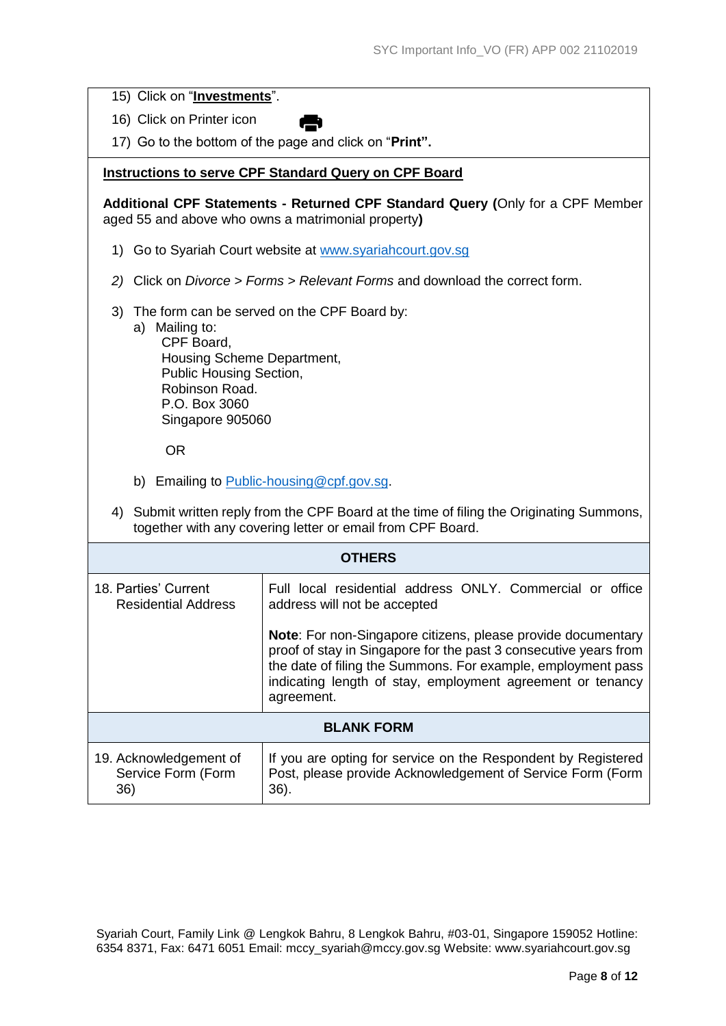15) Click on "**Investments**".

16) Click on Printer icon

17) Go to the bottom of the page and click on "**Print".**

## **Instructions to serve CPF Standard Query on CPF Board**

**Additional CPF Statements - Returned CPF Standard Query (**Only for a CPF Member aged 55 and above who owns a matrimonial property**)**

- 1) Go to Syariah Court website at [www.syariahcourt.gov.sg](http://www.syariahcourt.gov.sg/)
- *2)* Click on *Divorce > Forms > Relevant Forms* and download the correct form.
- 3) The form can be served on the CPF Board by:
	- a) Mailing to: CPF Board, Housing Scheme Department, Public Housing Section, Robinson Road. P.O. Box 3060 Singapore 905060

OR

- b) Emailing to [Public-housing@cpf.gov.sg.](mailto:Public-housing@cpf.gov.sg)
- 4) Submit written reply from the CPF Board at the time of filing the Originating Summons, together with any covering letter or email from CPF Board.

| <b>OTHERS</b>                                       |                                                                                                                                                                                                                                                                                     |  |  |  |
|-----------------------------------------------------|-------------------------------------------------------------------------------------------------------------------------------------------------------------------------------------------------------------------------------------------------------------------------------------|--|--|--|
| 18. Parties' Current<br><b>Residential Address</b>  | Full local residential address ONLY. Commercial or office<br>address will not be accepted                                                                                                                                                                                           |  |  |  |
|                                                     | <b>Note:</b> For non-Singapore citizens, please provide documentary<br>proof of stay in Singapore for the past 3 consecutive years from<br>the date of filing the Summons. For example, employment pass<br>indicating length of stay, employment agreement or tenancy<br>agreement. |  |  |  |
| <b>BLANK FORM</b>                                   |                                                                                                                                                                                                                                                                                     |  |  |  |
| 19. Acknowledgement of<br>Service Form (Form<br>36) | If you are opting for service on the Respondent by Registered<br>Post, please provide Acknowledgement of Service Form (Form<br>$36$ ).                                                                                                                                              |  |  |  |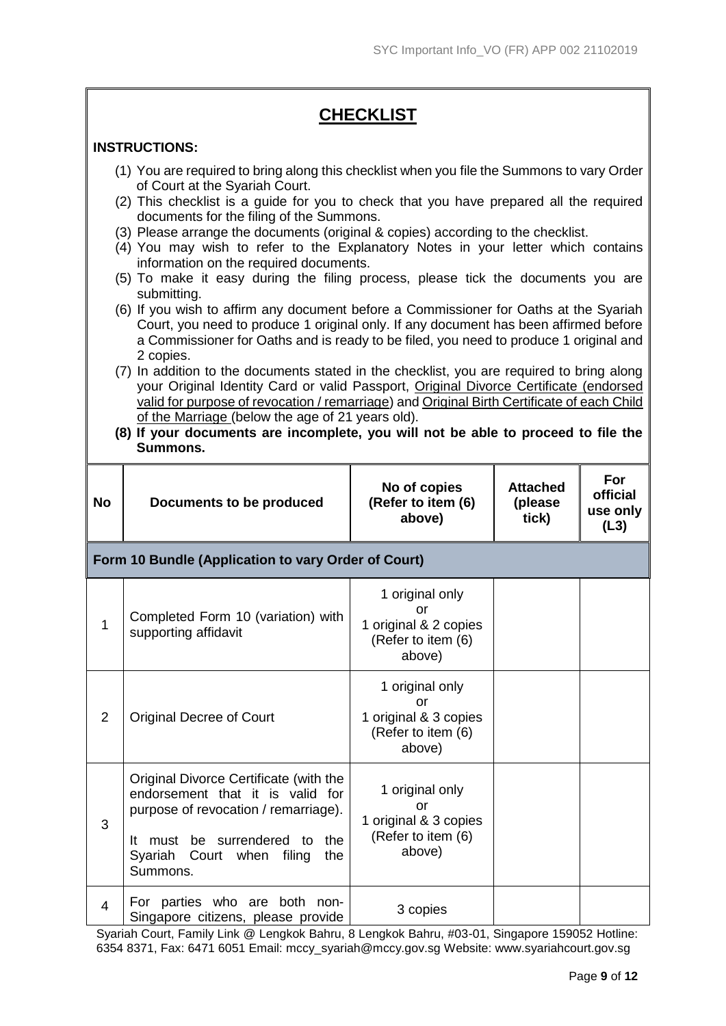#### **CHECKLIST INSTRUCTIONS:** (1) You are required to bring along this checklist when you file the Summons to vary Order of Court at the Syariah Court. (2) This checklist is a guide for you to check that you have prepared all the required documents for the filing of the Summons. (3) Please arrange the documents (original & copies) according to the checklist. (4) You may wish to refer to the Explanatory Notes in your letter which contains information on the required documents. (5) To make it easy during the filing process, please tick the documents you are submitting. (6) If you wish to affirm any document before a Commissioner for Oaths at the Syariah Court, you need to produce 1 original only. If any document has been affirmed before a Commissioner for Oaths and is ready to be filed, you need to produce 1 original and 2 copies. (7) In addition to the documents stated in the checklist, you are required to bring along your Original Identity Card or valid Passport, Original Divorce Certificate (endorsed valid for purpose of revocation / remarriage) and Original Birth Certificate of each Child of the Marriage (below the age of 21 years old). **(8) If your documents are incomplete, you will not be able to proceed to file the Summons. No Documents to be produced No of copies (Refer to item (6) above) Attached (please tick) For official use only (L3) Form 10 Bundle (Application to vary Order of Court)** 1 Completed Form 10 (variation) with supporting affidavit 1 original only or 1 original & 2 copies (Refer to item (6) above) 2 | Original Decree of Court 1 original only or 1 original & 3 copies (Refer to item (6) above) 3 Original Divorce Certificate (with the endorsement that it is valid for purpose of revocation / remarriage). It must be surrendered to the Syariah Court when filing the Summons. 1 original only or 1 original & 3 copies (Refer to item (6) above)  $4$  For parties who are both non-Singapore citizens, please provide 3 copies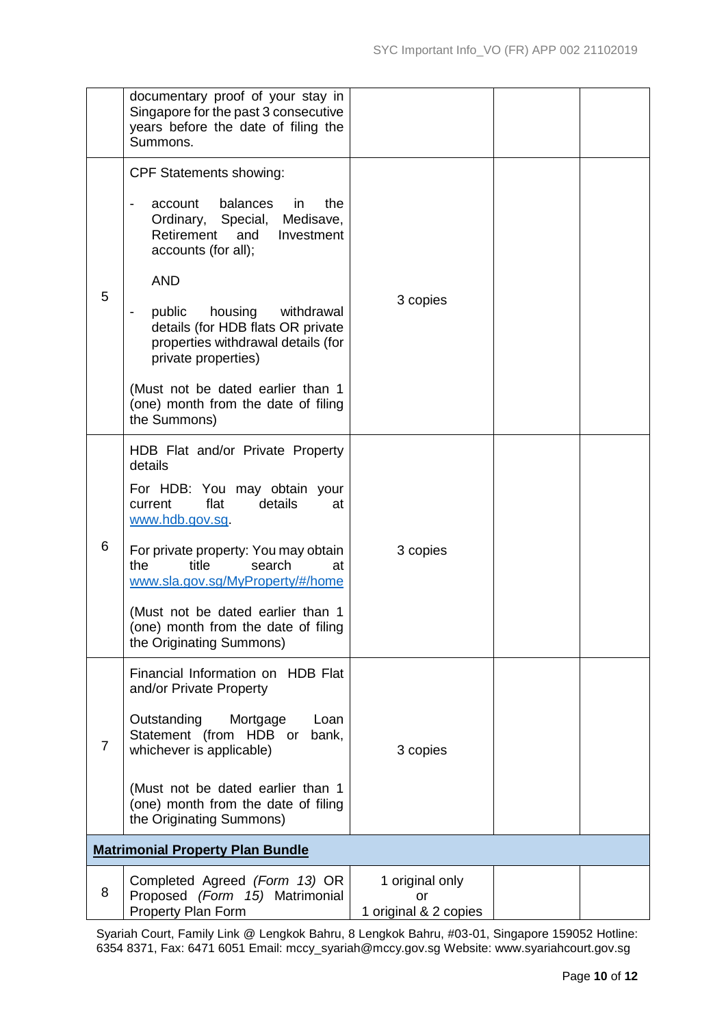|                | documentary proof of your stay in<br>Singapore for the past 3 consecutive<br>years before the date of filing the<br>Summons.                                                                                                                                                                                                                          |                                                |  |
|----------------|-------------------------------------------------------------------------------------------------------------------------------------------------------------------------------------------------------------------------------------------------------------------------------------------------------------------------------------------------------|------------------------------------------------|--|
| 5              | <b>CPF Statements showing:</b><br>balances<br>the<br>account<br>$\mathsf{I}$<br>Ordinary, Special, Medisave,<br>Retirement<br>and<br>Investment<br>accounts (for all);<br><b>AND</b><br>housing<br>public<br>withdrawal<br>$\overline{\phantom{a}}$<br>details (for HDB flats OR private<br>properties withdrawal details (for<br>private properties) | 3 copies                                       |  |
|                | (Must not be dated earlier than 1<br>(one) month from the date of filing<br>the Summons)                                                                                                                                                                                                                                                              |                                                |  |
| 6              | HDB Flat and/or Private Property<br>details<br>For HDB: You may obtain your<br>flat<br>details<br>current<br>at<br>www.hdb.gov.sg<br>For private property: You may obtain<br>the<br>title<br>search<br>at<br>www.sla.gov.sg/MyProperty/#/home<br>(Must not be dated earlier than 1<br>(one) month from the date of filing<br>the Originating Summons) | 3 copies                                       |  |
| $\overline{7}$ | Financial Information on HDB Flat<br>and/or Private Property<br>Outstanding<br>Mortgage<br>Loan<br>Statement (from HDB or<br>bank,<br>whichever is applicable)<br>(Must not be dated earlier than 1<br>(one) month from the date of filing<br>the Originating Summons)                                                                                | 3 copies                                       |  |
|                | <b>Matrimonial Property Plan Bundle</b>                                                                                                                                                                                                                                                                                                               |                                                |  |
| 8              | Completed Agreed (Form 13) OR<br>Proposed (Form 15) Matrimonial<br>Property Plan Form                                                                                                                                                                                                                                                                 | 1 original only<br>or<br>1 original & 2 copies |  |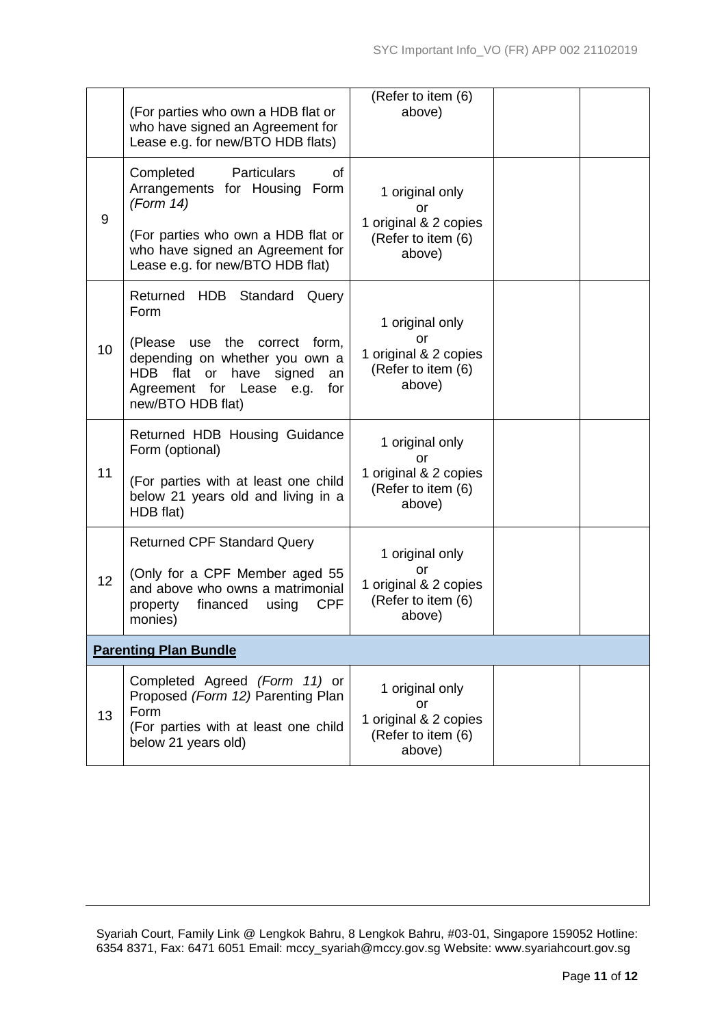|    | (For parties who own a HDB flat or<br>who have signed an Agreement for<br>Lease e.g. for new/BTO HDB flats)                                              | (Refer to item (6)<br>above)                                                   |  |
|----|----------------------------------------------------------------------------------------------------------------------------------------------------------|--------------------------------------------------------------------------------|--|
| 9  | <b>Particulars</b><br>Completed<br>of<br>Arrangements for Housing Form<br>(Form 14)                                                                      | 1 original only<br>or<br>1 original & 2 copies                                 |  |
|    | (For parties who own a HDB flat or<br>who have signed an Agreement for<br>Lease e.g. for new/BTO HDB flat)                                               | (Refer to item (6)<br>above)                                                   |  |
|    | Returned HDB Standard<br>Query<br>Form                                                                                                                   | 1 original only                                                                |  |
| 10 | (Please use the correct form,<br>depending on whether you own a<br>HDB flat or have signed<br>an<br>Agreement for Lease e.g.<br>for<br>new/BTO HDB flat) | or<br>1 original & 2 copies<br>(Refer to item (6)<br>above)                    |  |
|    | Returned HDB Housing Guidance<br>Form (optional)                                                                                                         | 1 original only<br>or                                                          |  |
| 11 | (For parties with at least one child<br>below 21 years old and living in a<br>HDB flat)                                                                  | 1 original & 2 copies<br>(Refer to item (6)<br>above)                          |  |
|    | <b>Returned CPF Standard Query</b>                                                                                                                       | 1 original only                                                                |  |
| 12 | (Only for a CPF Member aged 55<br>and above who owns a matrimonial<br><b>CPF</b><br>financed<br>property<br>using<br>monies)                             | or<br>1 original & 2 copies<br>(Refer to item (6)<br>above)                    |  |
|    | <b>Parenting Plan Bundle</b>                                                                                                                             |                                                                                |  |
| 13 | Completed Agreed (Form 11) or<br>Proposed (Form 12) Parenting Plan<br>Form<br>(For parties with at least one child<br>below 21 years old)                | 1 original only<br>or<br>1 original & 2 copies<br>(Refer to item (6)<br>above) |  |